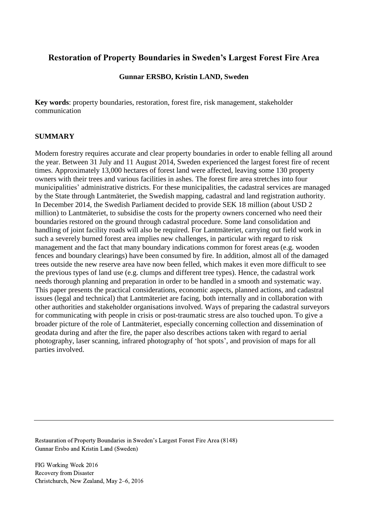# **Restoration of Property Boundaries in Sweden's Largest Forest Fire Area**

### **Gunnar ERSBO, Kristin LAND, Sweden**

**Key words**: property boundaries, restoration, forest fire, risk management, stakeholder communication

### **SUMMARY**

Modern forestry requires accurate and clear property boundaries in order to enable felling all around the year. Between 31 July and 11 August 2014, Sweden experienced the largest forest fire of recent times. Approximately 13,000 hectares of forest land were affected, leaving some 130 property owners with their trees and various facilities in ashes. The forest fire area stretches into four municipalities' administrative districts. For these municipalities, the cadastral services are managed by the State through Lantmäteriet, the Swedish mapping, cadastral and land registration authority. In December 2014, the Swedish Parliament decided to provide SEK 18 million (about USD 2 million) to Lantmäteriet, to subsidise the costs for the property owners concerned who need their boundaries restored on the ground through cadastral procedure. Some land consolidation and handling of joint facility roads will also be required. For Lantmäteriet, carrying out field work in such a severely burned forest area implies new challenges, in particular with regard to risk management and the fact that many boundary indications common for forest areas (e.g. wooden fences and boundary clearings) have been consumed by fire. In addition, almost all of the damaged trees outside the new reserve area have now been felled, which makes it even more difficult to see the previous types of land use (e.g. clumps and different tree types). Hence, the cadastral work needs thorough planning and preparation in order to be handled in a smooth and systematic way. This paper presents the practical considerations, economic aspects, planned actions, and cadastral issues (legal and technical) that Lantmäteriet are facing, both internally and in collaboration with other authorities and stakeholder organisations involved. Ways of preparing the cadastral surveyors for communicating with people in crisis or post-traumatic stress are also touched upon. To give a broader picture of the role of Lantmäteriet, especially concerning collection and dissemination of geodata during and after the fire, the paper also describes actions taken with regard to aerial photography, laser scanning, infrared photography of 'hot spots', and provision of maps for all parties involved.

Restauration of Property Boundaries in Sweden's Largest Forest Fire Area (8148) Gunnar Ersbo and Kristin Land (Sweden)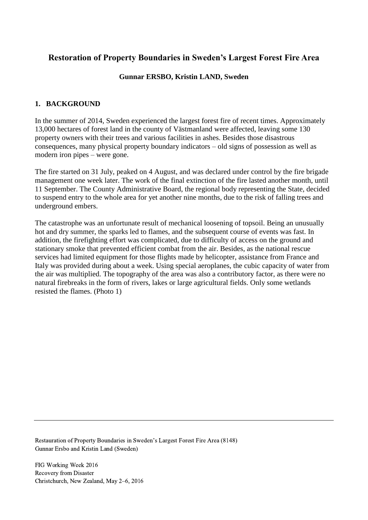# **Restoration of Property Boundaries in Sweden's Largest Forest Fire Area**

## **Gunnar ERSBO, Kristin LAND, Sweden**

## **1. BACKGROUND**

In the summer of 2014, Sweden experienced the largest forest fire of recent times. Approximately 13,000 hectares of forest land in the county of Västmanland were affected, leaving some 130 property owners with their trees and various facilities in ashes. Besides those disastrous consequences, many physical property boundary indicators – old signs of possession as well as modern iron pipes – were gone.

The fire started on 31 July, peaked on 4 August, and was declared under control by the fire brigade management one week later. The work of the final extinction of the fire lasted another month, until 11 September. The County Administrative Board, the regional body representing the State, decided to suspend entry to the whole area for yet another nine months, due to the risk of falling trees and underground embers.

The catastrophe was an unfortunate result of mechanical loosening of topsoil. Being an unusually hot and dry summer, the sparks led to flames, and the subsequent course of events was fast. In addition, the firefighting effort was complicated, due to difficulty of access on the ground and stationary smoke that prevented efficient combat from the air. Besides, as the national rescue services had limited equipment for those flights made by helicopter, assistance from France and Italy was provided during about a week. Using special aeroplanes, the cubic capacity of water from the air was multiplied. The topography of the area was also a contributory factor, as there were no natural firebreaks in the form of rivers, lakes or large agricultural fields. Only some wetlands resisted the flames. (Photo 1)

Restauration of Property Boundaries in Sweden's Largest Forest Fire Area (8148) Gunnar Ersbo and Kristin Land (Sweden)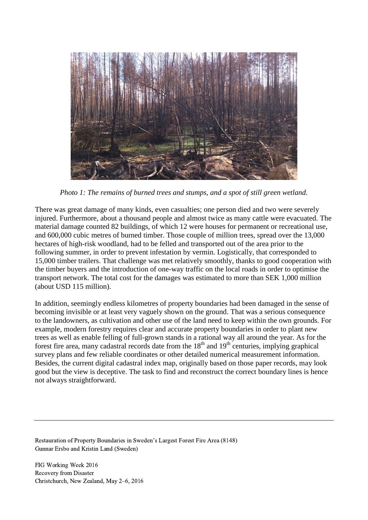

*Photo 1: The remains of burned trees and stumps, and a spot of still green wetland.*

There was great damage of many kinds, even casualties; one person died and two were severely injured. Furthermore, about a thousand people and almost twice as many cattle were evacuated. The material damage counted 82 buildings, of which 12 were houses for permanent or recreational use, and 600,000 cubic metres of burned timber. Those couple of million trees, spread over the 13,000 hectares of high-risk woodland, had to be felled and transported out of the area prior to the following summer, in order to prevent infestation by vermin. Logistically, that corresponded to 15,000 timber trailers. That challenge was met relatively smoothly, thanks to good cooperation with the timber buyers and the introduction of one-way traffic on the local roads in order to optimise the transport network. The total cost for the damages was estimated to more than SEK 1,000 million (about USD 115 million).

In addition, seemingly endless kilometres of property boundaries had been damaged in the sense of becoming invisible or at least very vaguely shown on the ground. That was a serious consequence to the landowners, as cultivation and other use of the land need to keep within the own grounds. For example, modern forestry requires clear and accurate property boundaries in order to plant new trees as well as enable felling of full-grown stands in a rational way all around the year. As for the forest fire area, many cadastral records date from the  $18<sup>th</sup>$  and  $19<sup>th</sup>$  centuries, implying graphical survey plans and few reliable coordinates or other detailed numerical measurement information. Besides, the current digital cadastral index map, originally based on those paper records, may look good but the view is deceptive. The task to find and reconstruct the correct boundary lines is hence not always straightforward.

Restauration of Property Boundaries in Sweden's Largest Forest Fire Area (8148) Gunnar Ersbo and Kristin Land (Sweden)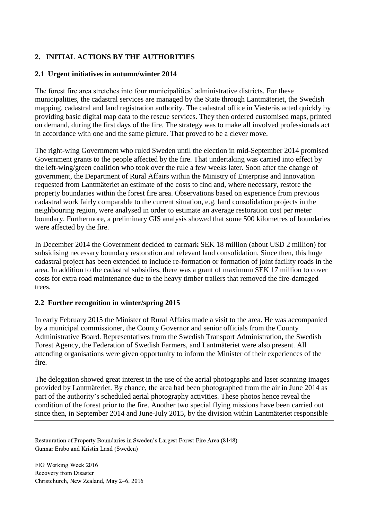# **2. INITIAL ACTIONS BY THE AUTHORITIES**

## **2.1 Urgent initiatives in autumn/winter 2014**

The forest fire area stretches into four municipalities' administrative districts. For these municipalities, the cadastral services are managed by the State through Lantmäteriet, the Swedish mapping, cadastral and land registration authority. The cadastral office in Västerås acted quickly by providing basic digital map data to the rescue services. They then ordered customised maps, printed on demand, during the first days of the fire. The strategy was to make all involved professionals act in accordance with one and the same picture. That proved to be a clever move.

The right-wing Government who ruled Sweden until the election in mid-September 2014 promised Government grants to the people affected by the fire. That undertaking was carried into effect by the left-wing/green coalition who took over the rule a few weeks later. Soon after the change of government, the Department of Rural Affairs within the Ministry of Enterprise and Innovation requested from Lantmäteriet an estimate of the costs to find and, where necessary, restore the property boundaries within the forest fire area. Observations based on experience from previous cadastral work fairly comparable to the current situation, e.g. land consolidation projects in the neighbouring region, were analysed in order to estimate an average restoration cost per meter boundary. Furthermore, a preliminary GIS analysis showed that some 500 kilometres of boundaries were affected by the fire.

In December 2014 the Government decided to earmark SEK 18 million (about USD 2 million) for subsidising necessary boundary restoration and relevant land consolidation. Since then, this huge cadastral project has been extended to include re-formation or formation of joint facility roads in the area. In addition to the cadastral subsidies, there was a grant of maximum SEK 17 million to cover costs for extra road maintenance due to the heavy timber trailers that removed the fire-damaged trees.

### **2.2 Further recognition in winter/spring 2015**

In early February 2015 the Minister of Rural Affairs made a visit to the area. He was accompanied by a municipal commissioner, the County Governor and senior officials from the County Administrative Board. Representatives from the Swedish Transport Administration, the Swedish Forest Agency, the Federation of Swedish Farmers, and Lantmäteriet were also present. All attending organisations were given opportunity to inform the Minister of their experiences of the fire.

The delegation showed great interest in the use of the aerial photographs and laser scanning images provided by Lantmäteriet. By chance, the area had been photographed from the air in June 2014 as part of the authority's scheduled aerial photography activities. These photos hence reveal the condition of the forest prior to the fire. Another two special flying missions have been carried out since then, in September 2014 and June-July 2015, by the division within Lantmäteriet responsible

Restauration of Property Boundaries in Sweden's Largest Forest Fire Area (8148) Gunnar Ersbo and Kristin Land (Sweden)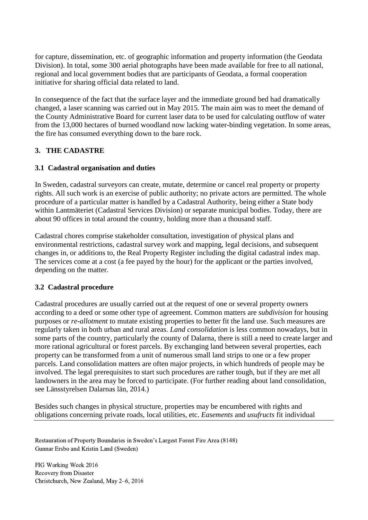for capture, dissemination, etc. of geographic information and property information (the Geodata Division). In total, some 300 aerial photographs have been made available for free to all national, regional and local government bodies that are participants of Geodata, a formal cooperation initiative for sharing official data related to land.

In consequence of the fact that the surface layer and the immediate ground bed had dramatically changed, a laser scanning was carried out in May 2015. The main aim was to meet the demand of the County Administrative Board for current laser data to be used for calculating outflow of water from the 13,000 hectares of burned woodland now lacking water-binding vegetation. In some areas, the fire has consumed everything down to the bare rock.

## **3. THE CADASTRE**

## **3.1 Cadastral organisation and duties**

In Sweden, cadastral surveyors can create, mutate, determine or cancel real property or property rights. All such work is an exercise of public authority; no private actors are permitted. The whole procedure of a particular matter is handled by a Cadastral Authority, being either a State body within Lantmäteriet (Cadastral Services Division) or separate municipal bodies. Today, there are about 90 offices in total around the country, holding more than a thousand staff.

Cadastral chores comprise stakeholder consultation, investigation of physical plans and environmental restrictions, cadastral survey work and mapping, legal decisions, and subsequent changes in, or additions to, the Real Property Register including the digital cadastral index map. The services come at a cost (a fee payed by the hour) for the applicant or the parties involved, depending on the matter.

### **3.2 Cadastral procedure**

Cadastral procedures are usually carried out at the request of one or several property owners according to a deed or some other type of agreement. Common matters are *subdivision* for housing purposes or *re-allotment* to mutate existing properties to better fit the land use. Such measures are regularly taken in both urban and rural areas. *Land consolidation* is less common nowadays, but in some parts of the country, particularly the county of Dalarna, there is still a need to create larger and more rational agricultural or forest parcels. By exchanging land between several properties, each property can be transformed from a unit of numerous small land strips to one or a few proper parcels. Land consolidation matters are often major projects, in which hundreds of people may be involved. The legal prerequisites to start such procedures are rather tough, but if they are met all landowners in the area may be forced to participate. (For further reading about land consolidation, see Länsstyrelsen Dalarnas län, 2014.)

Besides such changes in physical structure, properties may be encumbered with rights and obligations concerning private roads, local utilities, etc. *Easements* and *usufructs* fit individual

Restauration of Property Boundaries in Sweden's Largest Forest Fire Area (8148) Gunnar Ersbo and Kristin Land (Sweden)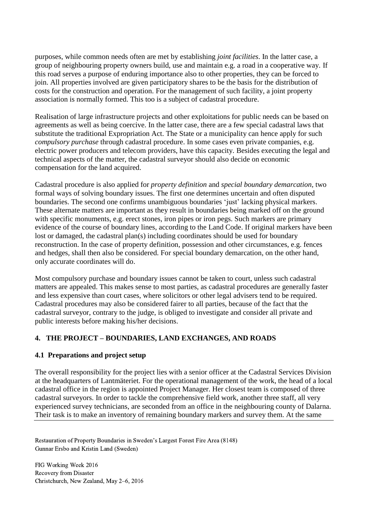purposes, while common needs often are met by establishing *joint facilities*. In the latter case, a group of neighbouring property owners build, use and maintain e.g. a road in a cooperative way. If this road serves a purpose of enduring importance also to other properties, they can be forced to join. All properties involved are given participatory shares to be the basis for the distribution of costs for the construction and operation. For the management of such facility, a joint property association is normally formed. This too is a subject of cadastral procedure.

Realisation of large infrastructure projects and other exploitations for public needs can be based on agreements as well as being coercive. In the latter case, there are a few special cadastral laws that substitute the traditional Expropriation Act. The State or a municipality can hence apply for such *compulsory purchase* through cadastral procedure. In some cases even private companies, e.g. electric power producers and telecom providers, have this capacity. Besides executing the legal and technical aspects of the matter, the cadastral surveyor should also decide on economic compensation for the land acquired.

Cadastral procedure is also applied for *property definition* and *special boundary demarcation*, two formal ways of solving boundary issues. The first one determines uncertain and often disputed boundaries. The second one confirms unambiguous boundaries 'just' lacking physical markers. These alternate matters are important as they result in boundaries being marked off on the ground with specific monuments, e.g. erect stones, iron pipes or iron pegs. Such markers are primary evidence of the course of boundary lines, according to the Land Code. If original markers have been lost or damaged, the cadastral plan(s) including coordinates should be used for boundary reconstruction. In the case of property definition, possession and other circumstances, e.g. fences and hedges, shall then also be considered. For special boundary demarcation, on the other hand, only accurate coordinates will do.

Most compulsory purchase and boundary issues cannot be taken to court, unless such cadastral matters are appealed. This makes sense to most parties, as cadastral procedures are generally faster and less expensive than court cases, where solicitors or other legal advisers tend to be required. Cadastral procedures may also be considered fairer to all parties, because of the fact that the cadastral surveyor, contrary to the judge, is obliged to investigate and consider all private and public interests before making his/her decisions.

## **4. THE PROJECT – BOUNDARIES, LAND EXCHANGES, AND ROADS**

## **4.1 Preparations and project setup**

The overall responsibility for the project lies with a senior officer at the Cadastral Services Division at the headquarters of Lantmäteriet. For the operational management of the work, the head of a local cadastral office in the region is appointed Project Manager. Her closest team is composed of three cadastral surveyors. In order to tackle the comprehensive field work, another three staff, all very experienced survey technicians, are seconded from an office in the neighbouring county of Dalarna. Their task is to make an inventory of remaining boundary markers and survey them. At the same

Restauration of Property Boundaries in Sweden's Largest Forest Fire Area (8148) Gunnar Ersbo and Kristin Land (Sweden)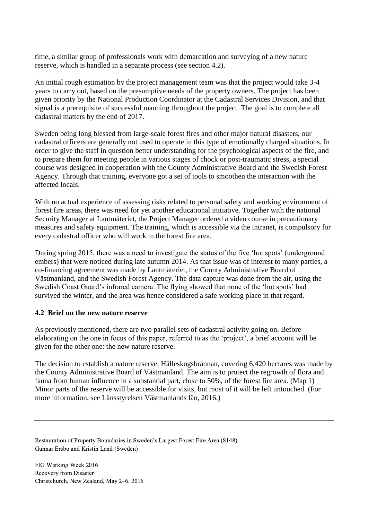time, a similar group of professionals work with demarcation and surveying of a new nature reserve, which is handled in a separate process (see section 4.2).

An initial rough estimation by the project management team was that the project would take 3-4 years to carry out, based on the presumptive needs of the property owners. The project has been given priority by the National Production Coordinator at the Cadastral Services Division, and that signal is a prerequisite of successful manning throughout the project. The goal is to complete all cadastral matters by the end of 2017.

Sweden being long blessed from large-scale forest fires and other major natural disasters, our cadastral officers are generally not used to operate in this type of emotionally charged situations. In order to give the staff in question better understanding for the psychological aspects of the fire, and to prepare them for meeting people in various stages of chock or post-traumatic stress, a special course was designed in cooperation with the County Administrative Board and the Swedish Forest Agency. Through that training, everyone got a set of tools to smoothen the interaction with the affected locals.

With no actual experience of assessing risks related to personal safety and working environment of forest fire areas, there was need for yet another educational initiative. Together with the national Security Manager at Lantmäteriet, the Project Manager ordered a video course in precautionary measures and safety equipment. The training, which is accessible via the intranet, is compulsory for every cadastral officer who will work in the forest fire area.

During spring 2015, there was a need to investigate the status of the five 'hot spots' (underground embers) that were noticed during late autumn 2014. As that issue was of interest to many parties, a co-financing agreement was made by Lantmäteriet, the County Administrative Board of Västmanland, and the Swedish Forest Agency. The data capture was done from the air, using the Swedish Coast Guard's infrared camera. The flying showed that none of the 'hot spots' had survived the winter, and the area was hence considered a safe working place in that regard.

#### **4.2 Brief on the new nature reserve**

As previously mentioned, there are two parallel sets of cadastral activity going on. Before elaborating on the one in focus of this paper, referred to as the 'project', a brief account will be given for the other one: the new nature reserve.

The decision to establish a nature reserve, Hälleskogsbrännan, covering 6,420 hectares was made by the County Administrative Board of Västmanland. The aim is to protect the regrowth of flora and fauna from human influence in a substantial part, close to 50%, of the forest fire area. (Map 1) Minor parts of the reserve will be accessible for visits, but most of it will be left untouched. (For more information, see Länsstyrelsen Västmanlands län, 2016.)

Restauration of Property Boundaries in Sweden's Largest Forest Fire Area (8148) Gunnar Ersbo and Kristin Land (Sweden)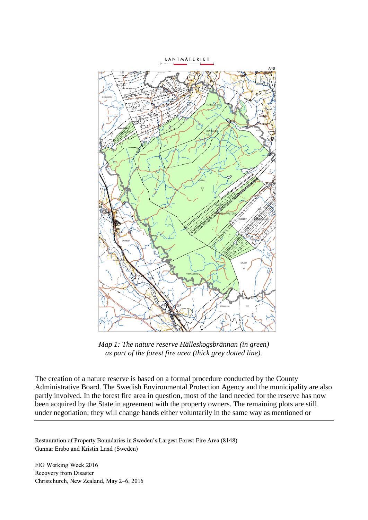LANTMÄTERIET



*Map 1: The nature reserve Hälleskogsbrännan (in green) as part of the forest fire area (thick grey dotted line).*

The creation of a nature reserve is based on a formal procedure conducted by the County Administrative Board. The Swedish Environmental Protection Agency and the municipality are also partly involved. In the forest fire area in question, most of the land needed for the reserve has now been acquired by the State in agreement with the property owners. The remaining plots are still under negotiation; they will change hands either voluntarily in the same way as mentioned or

Restauration of Property Boundaries in Sweden's Largest Forest Fire Area (8148) Gunnar Ersbo and Kristin Land (Sweden)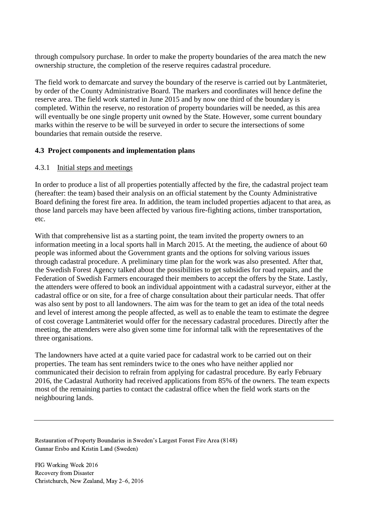through compulsory purchase. In order to make the property boundaries of the area match the new ownership structure, the completion of the reserve requires cadastral procedure.

The field work to demarcate and survey the boundary of the reserve is carried out by Lantmäteriet, by order of the County Administrative Board. The markers and coordinates will hence define the reserve area. The field work started in June 2015 and by now one third of the boundary is completed. Within the reserve, no restoration of property boundaries will be needed, as this area will eventually be one single property unit owned by the State. However, some current boundary marks within the reserve to be will be surveyed in order to secure the intersections of some boundaries that remain outside the reserve.

### **4.3 Project components and implementation plans**

### 4.3.1 Initial steps and meetings

In order to produce a list of all properties potentially affected by the fire, the cadastral project team (hereafter: the team) based their analysis on an official statement by the County Administrative Board defining the forest fire area. In addition, the team included properties adjacent to that area, as those land parcels may have been affected by various fire-fighting actions, timber transportation, etc.

With that comprehensive list as a starting point, the team invited the property owners to an information meeting in a local sports hall in March 2015. At the meeting, the audience of about 60 people was informed about the Government grants and the options for solving various issues through cadastral procedure. A preliminary time plan for the work was also presented. After that, the Swedish Forest Agency talked about the possibilities to get subsidies for road repairs, and the Federation of Swedish Farmers encouraged their members to accept the offers by the State. Lastly, the attenders were offered to book an individual appointment with a cadastral surveyor, either at the cadastral office or on site, for a free of charge consultation about their particular needs. That offer was also sent by post to all landowners. The aim was for the team to get an idea of the total needs and level of interest among the people affected, as well as to enable the team to estimate the degree of cost coverage Lantmäteriet would offer for the necessary cadastral procedures. Directly after the meeting, the attenders were also given some time for informal talk with the representatives of the three organisations.

The landowners have acted at a quite varied pace for cadastral work to be carried out on their properties. The team has sent reminders twice to the ones who have neither applied nor communicated their decision to refrain from applying for cadastral procedure. By early February 2016, the Cadastral Authority had received applications from 85% of the owners. The team expects most of the remaining parties to contact the cadastral office when the field work starts on the neighbouring lands.

Restauration of Property Boundaries in Sweden's Largest Forest Fire Area (8148) Gunnar Ersbo and Kristin Land (Sweden)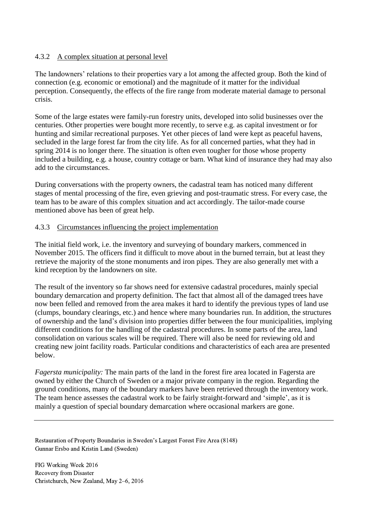### 4.3.2 A complex situation at personal level

The landowners' relations to their properties vary a lot among the affected group. Both the kind of connection (e.g. economic or emotional) and the magnitude of it matter for the individual perception. Consequently, the effects of the fire range from moderate material damage to personal crisis.

Some of the large estates were family-run forestry units, developed into solid businesses over the centuries. Other properties were bought more recently, to serve e.g. as capital investment or for hunting and similar recreational purposes. Yet other pieces of land were kept as peaceful havens, secluded in the large forest far from the city life. As for all concerned parties, what they had in spring 2014 is no longer there. The situation is often even tougher for those whose property included a building, e.g. a house, country cottage or barn. What kind of insurance they had may also add to the circumstances.

During conversations with the property owners, the cadastral team has noticed many different stages of mental processing of the fire, even grieving and post-traumatic stress. For every case, the team has to be aware of this complex situation and act accordingly. The tailor-made course mentioned above has been of great help.

### 4.3.3 Circumstances influencing the project implementation

The initial field work, i.e. the inventory and surveying of boundary markers, commenced in November 2015. The officers find it difficult to move about in the burned terrain, but at least they retrieve the majority of the stone monuments and iron pipes. They are also generally met with a kind reception by the landowners on site.

The result of the inventory so far shows need for extensive cadastral procedures, mainly special boundary demarcation and property definition. The fact that almost all of the damaged trees have now been felled and removed from the area makes it hard to identify the previous types of land use (clumps, boundary clearings, etc.) and hence where many boundaries run. In addition, the structures of ownership and the land's division into properties differ between the four municipalities, implying different conditions for the handling of the cadastral procedures. In some parts of the area, land consolidation on various scales will be required. There will also be need for reviewing old and creating new joint facility roads. Particular conditions and characteristics of each area are presented below.

*Fagersta municipality:* The main parts of the land in the forest fire area located in Fagersta are owned by either the Church of Sweden or a major private company in the region. Regarding the ground conditions, many of the boundary markers have been retrieved through the inventory work. The team hence assesses the cadastral work to be fairly straight-forward and 'simple', as it is mainly a question of special boundary demarcation where occasional markers are gone.

Restauration of Property Boundaries in Sweden's Largest Forest Fire Area (8148) Gunnar Ersbo and Kristin Land (Sweden)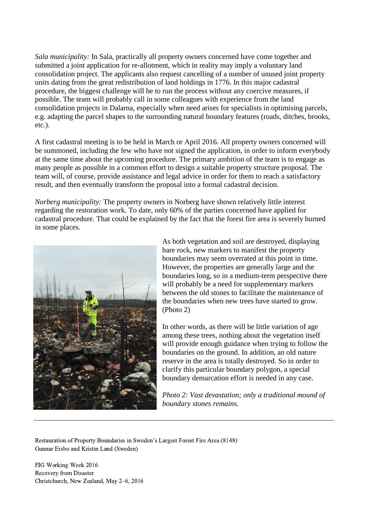*Sala municipality:* In Sala, practically all property owners concerned have come together and submitted a joint application for re-allotment, which in reality may imply a voluntary land consolidation project. The applicants also request cancelling of a number of unused joint property units dating from the great redistribution of land holdings in 1776. In this major cadastral procedure, the biggest challenge will be to run the process without any coercive measures, if possible. The team will probably call in some colleagues with experience from the land consolidation projects in Dalarna, especially when need arises for specialists in optimising parcels, e.g. adapting the parcel shapes to the surrounding natural boundary features (roads, ditches, brooks, etc.).

A first cadastral meeting is to be held in March or April 2016. All property owners concerned will be summoned, including the few who have not signed the application, in order to inform everybody at the same time about the upcoming procedure. The primary ambition of the team is to engage as many people as possible in a common effort to design a suitable property structure proposal. The team will, of course, provide assistance and legal advice in order for them to reach a satisfactory result, and then eventually transform the proposal into a formal cadastral decision.

*Norberg municipality:* The property owners in Norberg have shown relatively little interest regarding the restoration work. To date, only 60% of the parties concerned have applied for cadastral procedure. That could be explained by the fact that the forest fire area is severely burned in some places.



As both vegetation and soil are destroyed, displaying bare rock, new markers to manifest the property boundaries may seem overrated at this point in time. However, the properties are generally large and the boundaries long, so in a medium-term perspective there will probably be a need for supplementary markers between the old stones to facilitate the maintenance of the boundaries when new trees have started to grow. (Photo 2)

In other words, as there will be little variation of age among these trees, nothing about the vegetation itself will provide enough guidance when trying to follow the boundaries on the ground. In addition, an old nature reserve in the area is totally destroyed. So in order to clarify this particular boundary polygon, a special boundary demarcation effort is needed in any case.

*Photo 2: Vast devastation; only a traditional mound of boundary stones remains.*

Restauration of Property Boundaries in Sweden's Largest Forest Fire Area (8148) Gunnar Ersbo and Kristin Land (Sweden)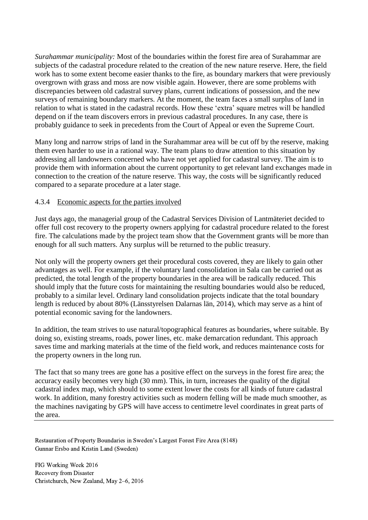*Surahammar municipality:* Most of the boundaries within the forest fire area of Surahammar are subjects of the cadastral procedure related to the creation of the new nature reserve. Here, the field work has to some extent become easier thanks to the fire, as boundary markers that were previously overgrown with grass and moss are now visible again. However, there are some problems with discrepancies between old cadastral survey plans, current indications of possession, and the new surveys of remaining boundary markers. At the moment, the team faces a small surplus of land in relation to what is stated in the cadastral records. How these 'extra' square metres will be handled depend on if the team discovers errors in previous cadastral procedures. In any case, there is probably guidance to seek in precedents from the Court of Appeal or even the Supreme Court.

Many long and narrow strips of land in the Surahammar area will be cut off by the reserve, making them even harder to use in a rational way. The team plans to draw attention to this situation by addressing all landowners concerned who have not yet applied for cadastral survey. The aim is to provide them with information about the current opportunity to get relevant land exchanges made in connection to the creation of the nature reserve. This way, the costs will be significantly reduced compared to a separate procedure at a later stage.

### 4.3.4 Economic aspects for the parties involved

Just days ago, the managerial group of the Cadastral Services Division of Lantmäteriet decided to offer full cost recovery to the property owners applying for cadastral procedure related to the forest fire. The calculations made by the project team show that the Government grants will be more than enough for all such matters. Any surplus will be returned to the public treasury.

Not only will the property owners get their procedural costs covered, they are likely to gain other advantages as well. For example, if the voluntary land consolidation in Sala can be carried out as predicted, the total length of the property boundaries in the area will be radically reduced. This should imply that the future costs for maintaining the resulting boundaries would also be reduced, probably to a similar level. Ordinary land consolidation projects indicate that the total boundary length is reduced by about 80% (Länsstyrelsen Dalarnas län, 2014), which may serve as a hint of potential economic saving for the landowners.

In addition, the team strives to use natural/topographical features as boundaries, where suitable. By doing so, existing streams, roads, power lines, etc. make demarcation redundant. This approach saves time and marking materials at the time of the field work, and reduces maintenance costs for the property owners in the long run.

The fact that so many trees are gone has a positive effect on the surveys in the forest fire area; the accuracy easily becomes very high (30 mm). This, in turn, increases the quality of the digital cadastral index map, which should to some extent lower the costs for all kinds of future cadastral work. In addition, many forestry activities such as modern felling will be made much smoother, as the machines navigating by GPS will have access to centimetre level coordinates in great parts of the area.

Restauration of Property Boundaries in Sweden's Largest Forest Fire Area (8148) Gunnar Ersbo and Kristin Land (Sweden)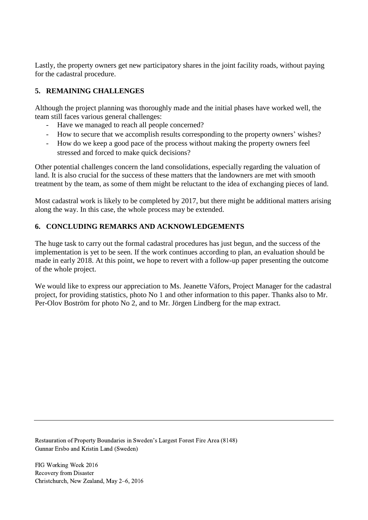Lastly, the property owners get new participatory shares in the joint facility roads, without paying for the cadastral procedure.

## **5. REMAINING CHALLENGES**

Although the project planning was thoroughly made and the initial phases have worked well, the team still faces various general challenges:

- Have we managed to reach all people concerned?
- How to secure that we accomplish results corresponding to the property owners' wishes?
- How do we keep a good pace of the process without making the property owners feel stressed and forced to make quick decisions?

Other potential challenges concern the land consolidations, especially regarding the valuation of land. It is also crucial for the success of these matters that the landowners are met with smooth treatment by the team, as some of them might be reluctant to the idea of exchanging pieces of land.

Most cadastral work is likely to be completed by 2017, but there might be additional matters arising along the way. In this case, the whole process may be extended.

# **6. CONCLUDING REMARKS AND ACKNOWLEDGEMENTS**

The huge task to carry out the formal cadastral procedures has just begun, and the success of the implementation is yet to be seen. If the work continues according to plan, an evaluation should be made in early 2018. At this point, we hope to revert with a follow-up paper presenting the outcome of the whole project.

We would like to express our appreciation to Ms. Jeanette Väfors, Project Manager for the cadastral project, for providing statistics, photo No 1 and other information to this paper. Thanks also to Mr. Per-Olov Boström for photo No 2, and to Mr. Jörgen Lindberg for the map extract.

Restauration of Property Boundaries in Sweden's Largest Forest Fire Area (8148) Gunnar Ersbo and Kristin Land (Sweden)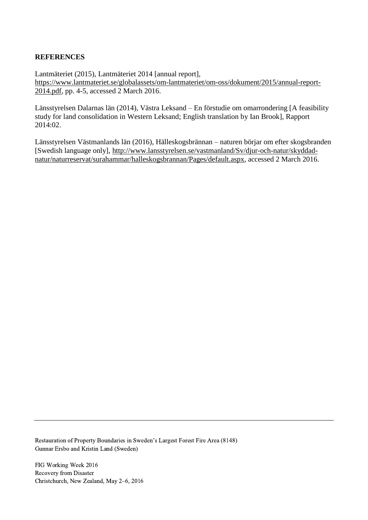### **REFERENCES**

Lantmäteriet (2015), Lantmäteriet 2014 [annual report], [https://www.lantmateriet.se/globalassets/om-lantmateriet/om-oss/dokument/2015/annual-report-](https://www.lantmateriet.se/globalassets/om-lantmateriet/om-oss/dokument/2015/annual-report-2014.pdf)[2014.pdf,](https://www.lantmateriet.se/globalassets/om-lantmateriet/om-oss/dokument/2015/annual-report-2014.pdf) pp. 4-5, accessed 2 March 2016.

Länsstyrelsen Dalarnas län (2014), Västra Leksand – En förstudie om omarrondering [A feasibility study for land consolidation in Western Leksand; English translation by Ian Brook], Rapport 2014:02.

Länsstyrelsen Västmanlands län (2016), Hälleskogsbrännan – naturen börjar om efter skogsbranden [Swedish language only], [http://www.lansstyrelsen.se/vastmanland/Sv/djur-och-natur/skyddad](http://www.lansstyrelsen.se/vastmanland/Sv/djur-och-natur/skyddad-natur/naturreservat/surahammar/halleskogsbrannan/Pages/default.aspx)[natur/naturreservat/surahammar/halleskogsbrannan/Pages/default.aspx,](http://www.lansstyrelsen.se/vastmanland/Sv/djur-och-natur/skyddad-natur/naturreservat/surahammar/halleskogsbrannan/Pages/default.aspx) accessed 2 March 2016.

Restauration of Property Boundaries in Sweden's Largest Forest Fire Area (8148) Gunnar Ersbo and Kristin Land (Sweden)